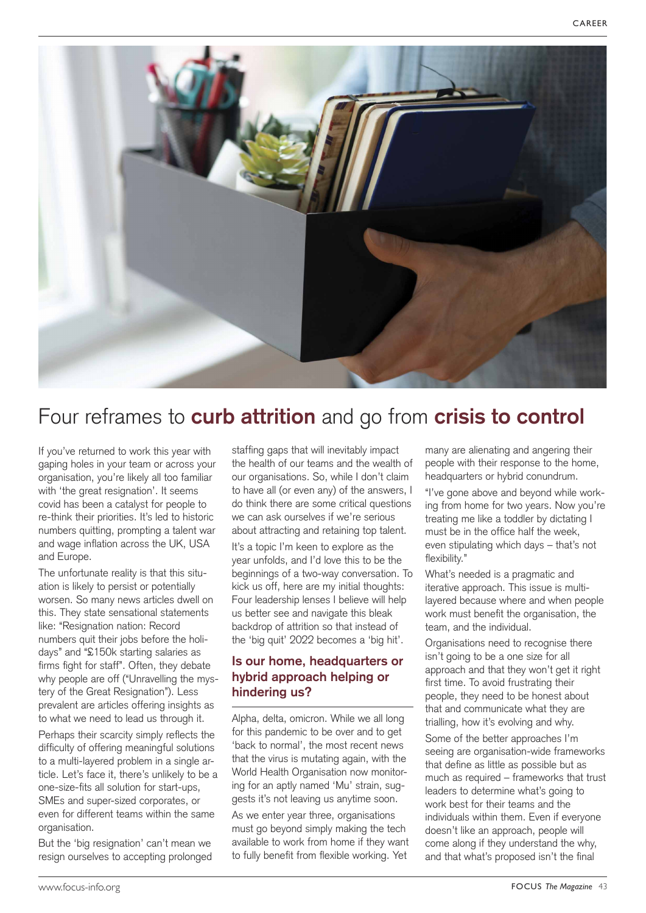

# Four reframes to **curb attrition** and go from **crisis to control**

If you've returned to work this year with gaping holes in your team or across your organisation, you're likely all too familiar with 'the great resignation'. It seems covid has been a catalyst for people to re-think their priorities. It's led to historic numbers quitting, prompting a talent war and wage inflation across the UK, USA and Europe.

The unfortunate reality is that this situation is likely to persist or potentially worsen. So many news articles dwell on this. They state sensational statements like: "Resignation nation: Record numbers quit their jobs before the holidays" and "£150k starting salaries as firms fight for staff". Often, they debate why people are off ("Unravelling the mystery of the Great Resignation"). Less prevalent are articles offering insights as to what we need to lead us through it.

Perhaps their scarcity simply reflects the difficulty of offering meaningful solutions to a multi-layered problem in a single article. Let's face it, there's unlikely to be a one-size-fits all solution for start-ups, SMEs and super-sized corporates, or even for different teams within the same organisation.

But the 'big resignation' can't mean we resign ourselves to accepting prolonged

staffing gaps that will inevitably impact the health of our teams and the wealth of our organisations. So, while I don't claim to have all (or even any) of the answers, I do think there are some critical questions we can ask ourselves if we're serious about attracting and retaining top talent.

It's a topic I'm keen to explore as the year unfolds, and I'd love this to be the beginnings of a two-way conversation. To kick us off, here are my initial thoughts: Four leadership lenses I believe will help us better see and navigate this bleak backdrop of attrition so that instead of the 'big quit' 2022 becomes a 'big hit'.

## **Is our home, headquarters or hybrid approach helping or hindering us?**

Alpha, delta, omicron. While we all long for this pandemic to be over and to get 'back to normal', the most recent news that the virus is mutating again, with the World Health Organisation now monitoring for an aptly named 'Mu' strain, suggests it's not leaving us anytime soon.

As we enter year three, organisations must go beyond simply making the tech available to work from home if they want to fully benefit from flexible working. Yet

many are alienating and angering their people with their response to the home, headquarters or hybrid conundrum.

"I've gone above and beyond while working from home for two years. Now you're treating me like a toddler by dictating I must be in the office half the week, even stipulating which days – that's not flexibility."

What's needed is a pragmatic and iterative approach. This issue is multilayered because where and when people work must benefit the organisation, the team, and the individual.

Organisations need to recognise there isn't going to be a one size for all approach and that they won't get it right first time. To avoid frustrating their people, they need to be honest about that and communicate what they are trialling, how it's evolving and why.

Some of the better approaches I'm seeing are organisation-wide frameworks that define as little as possible but as much as required – frameworks that trust leaders to determine what's going to work best for their teams and the individuals within them. Even if everyone doesn't like an approach, people will come along if they understand the why, and that what's proposed isn't the final